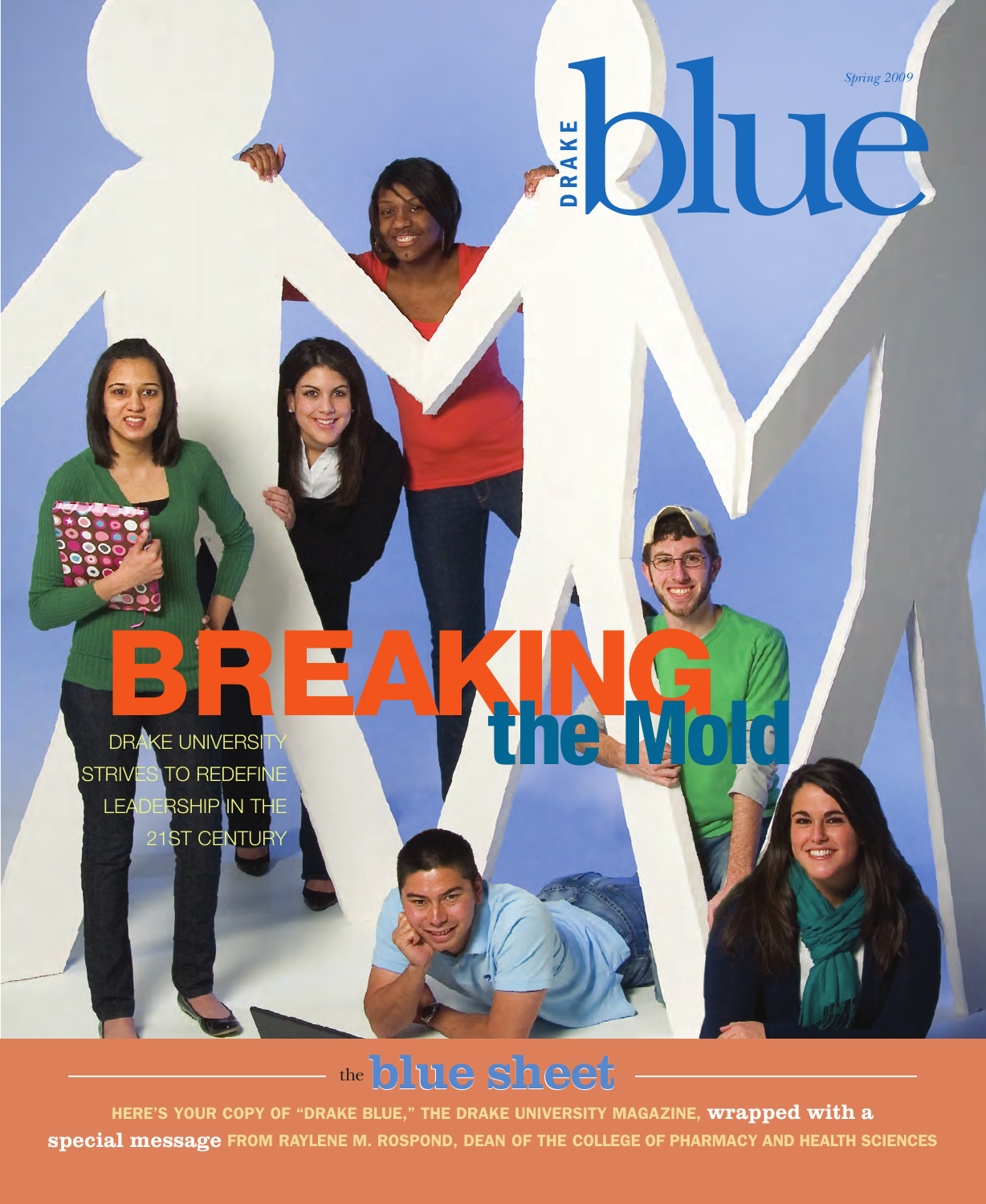**R**<br> **R**<br> **B**<br> **D**<br> **D**<br> **D**<br> **D**<br> **D**<br> **D** 

**BREAKING** STRIVES TO REDEFINE DRAKE UNIVERSITY<br>RIVES TO REDEFINE LEADERSHIP IN THE 21ST CENTURY

## the**blue sheet**

**HERE'S YOUR COPY OF "DRAKE BLUE," THE DRAKE UNIVERSITY MAGAZINE, wrapped with a special message FROM RAYLENE M. ROSPOND, DEAN OF THE COLLEGE OF PHARMACY AND HEALTH SCIENCES**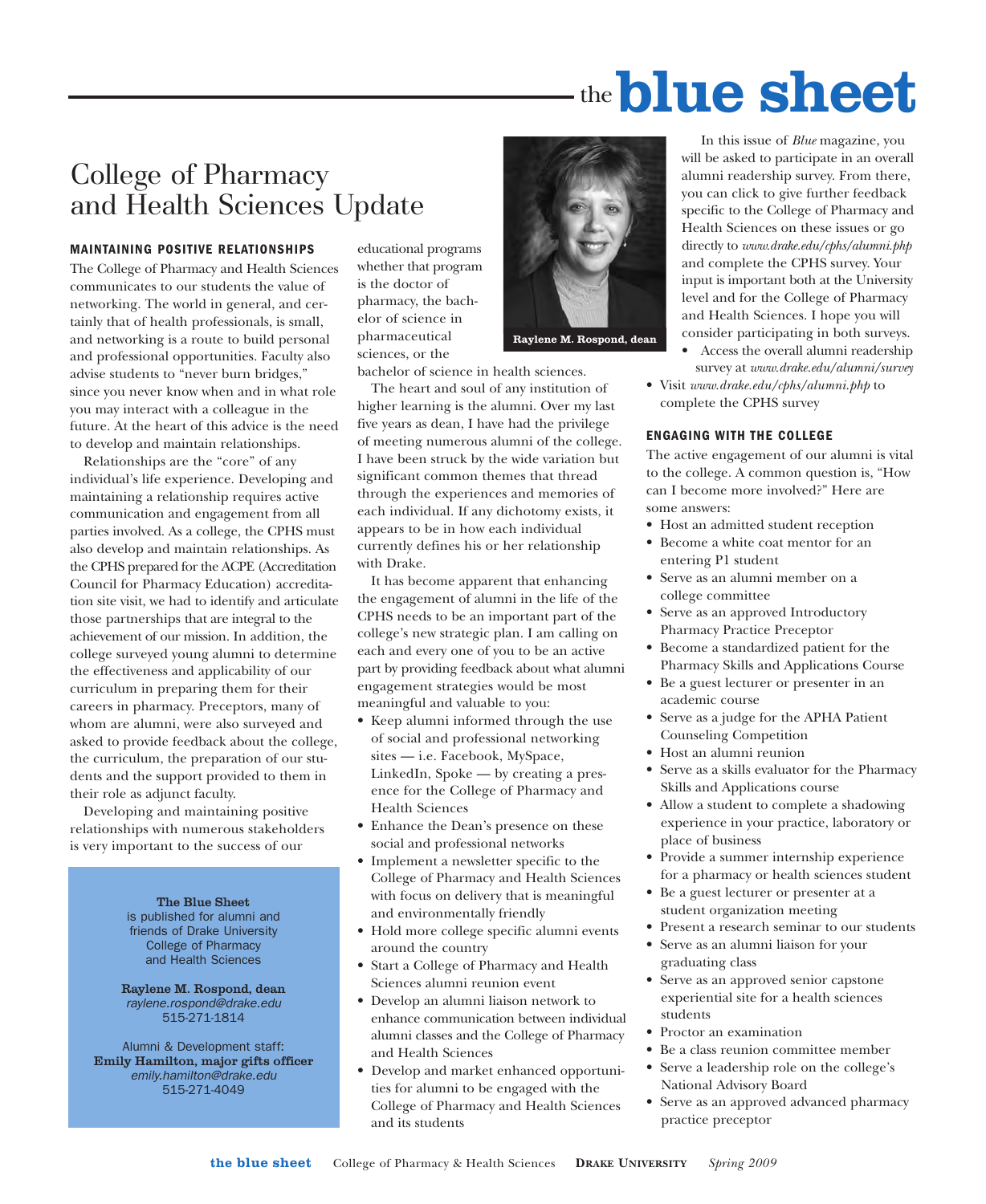# the**blue sheet**

### College of Pharmacy and Health Sciences Update

#### **MAINTAINING POSITIVE RELATIONSHIPS**

The College of Pharmacy and Health Sciences communicates to our students the value of networking. The world in general, and certainly that of health professionals, is small, and networking is a route to build personal and professional opportunities. Faculty also advise students to "never burn bridges," since you never know when and in what role you may interact with a colleague in the future. At the heart of this advice is the need to develop and maintain relationships.

Relationships are the "core" of any individual's life experience. Developing and maintaining a relationship requires active communication and engagement from all parties involved. As a college, the CPHS must also develop and maintain relationships. As the CPHS prepared for the ACPE (Accreditation Council for Pharmacy Education) accreditation site visit, we had to identify and articulate those partnerships that are integral to the achievement of our mission. In addition, the college surveyed young alumni to determine the effectiveness and applicability of our curriculum in preparing them for their careers in pharmacy. Preceptors, many of whom are alumni, were also surveyed and asked to provide feedback about the college, the curriculum, the preparation of our students and the support provided to them in their role as adjunct faculty.

Developing and maintaining positive relationships with numerous stakeholders is very important to the success of our

> **The Blue Sheet** is published for alumni and friends of Drake University College of Pharmacy and Health Sciences

**Raylene M. Rospond, dean** *raylene.rospond@drake.edu* 515-271-1814

Alumni & Development staff: **Emily Hamilton, major gifts officer** *emily.hamilton@drake.edu* 515-271-4049

educational programs whether that program is the doctor of pharmacy, the bachelor of science in pharmaceutical sciences, or the



bachelor of science in health sciences.

The heart and soul of any institution of higher learning is the alumni. Over my last five years as dean, I have had the privilege of meeting numerous alumni of the college. I have been struck by the wide variation but significant common themes that thread through the experiences and memories of each individual. If any dichotomy exists, it appears to be in how each individual currently defines his or her relationship with Drake.

It has become apparent that enhancing the engagement of alumni in the life of the CPHS needs to be an important part of the college's new strategic plan. I am calling on each and every one of you to be an active part by providing feedback about what alumni engagement strategies would be most meaningful and valuable to you:

- Keep alumni informed through the use of social and professional networking sites — i.e. Facebook, MySpace, LinkedIn, Spoke — by creating a presence for the College of Pharmacy and Health Sciences
- Enhance the Dean's presence on these social and professional networks
- Implement a newsletter specific to the College of Pharmacy and Health Sciences with focus on delivery that is meaningful and environmentally friendly
- Hold more college specific alumni events around the country
- Start a College of Pharmacy and Health Sciences alumni reunion event
- Develop an alumni liaison network to enhance communication between individual alumni classes and the College of Pharmacy and Health Sciences
- Develop and market enhanced opportunities for alumni to be engaged with the College of Pharmacy and Health Sciences and its students

In this issue of *Blue* magazine, you will be asked to participate in an overall alumni readership survey. From there, you can click to give further feedback specific to the College of Pharmacy and Health Sciences on these issues or go directly to *www.drake.edu/cphs/alumni.php* and complete the CPHS survey. Your input is important both at the University level and for the College of Pharmacy and Health Sciences. I hope you will consider participating in both surveys.

- Access the overall alumni readership survey at *www.drake.edu/alumni/survey*
- Visit *www.drake.edu/cphs/alumni.php* to complete the CPHS survey

#### **ENGAGING WITH THE COLLEGE**

The active engagement of our alumni is vital to the college. A common question is, "How can I become more involved?" Here are some answers:

- Host an admitted student reception
- Become a white coat mentor for an entering P1 student
- Serve as an alumni member on a college committee
- Serve as an approved Introductory Pharmacy Practice Preceptor
- Become a standardized patient for the Pharmacy Skills and Applications Course
- Be a guest lecturer or presenter in an academic course
- Serve as a judge for the APHA Patient Counseling Competition
- Host an alumni reunion
- Serve as a skills evaluator for the Pharmacy Skills and Applications course
- Allow a student to complete a shadowing experience in your practice, laboratory or place of business
- Provide a summer internship experience for a pharmacy or health sciences student
- Be a guest lecturer or presenter at a student organization meeting
- Present a research seminar to our students
- Serve as an alumni liaison for your graduating class
- Serve as an approved senior capstone experiential site for a health sciences students
- Proctor an examination
- Be a class reunion committee member
- Serve a leadership role on the college's National Advisory Board
- Serve as an approved advanced pharmacy practice preceptor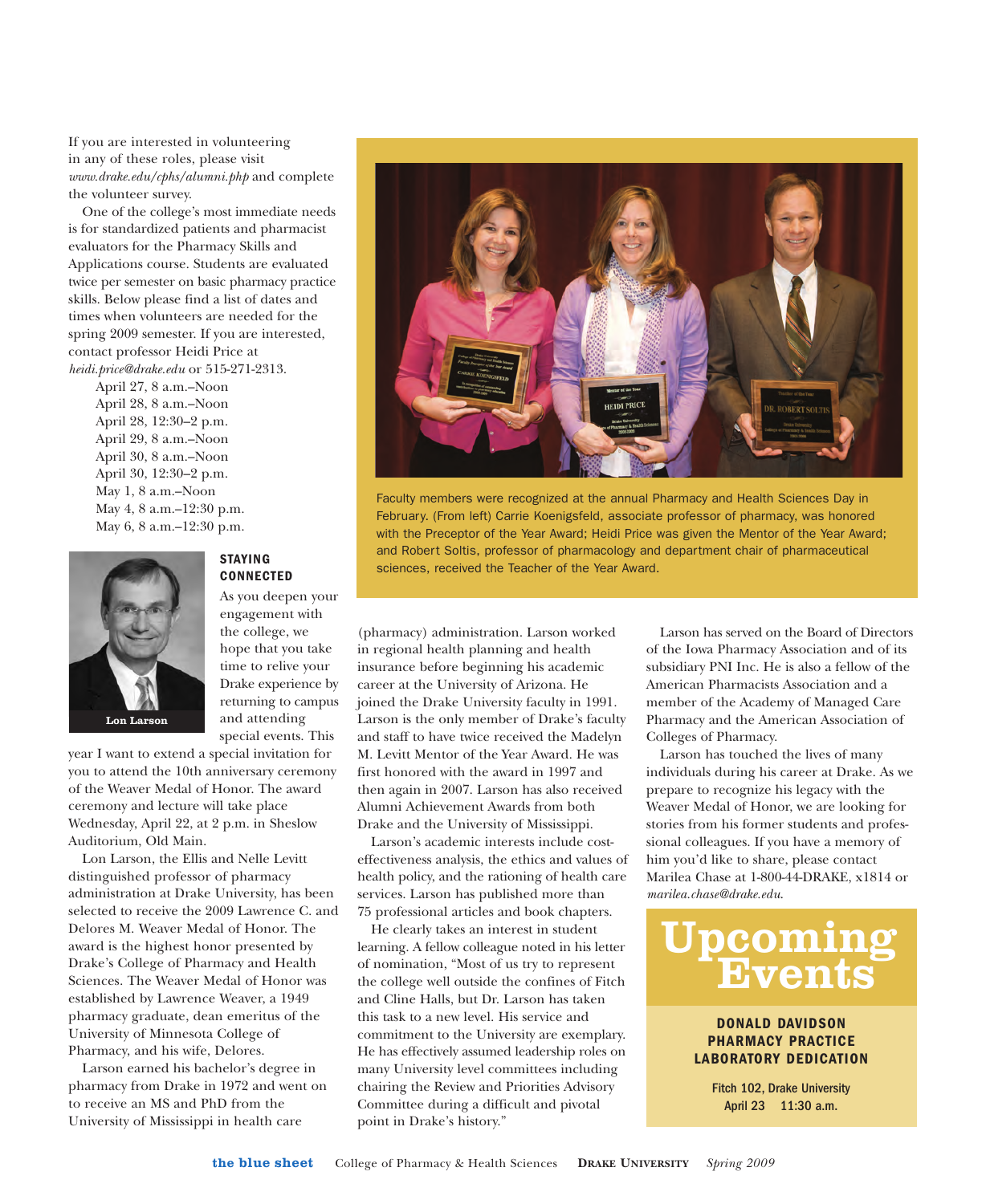If you are interested in volunteering in any of these roles, please visit *www.drake.edu/cphs/alumni.php* and complete the volunteer survey.

One of the college's most immediate needs is for standardized patients and pharmacist evaluators for the Pharmacy Skills and Applications course. Students are evaluated twice per semester on basic pharmacy practice skills. Below please find a list of dates and times when volunteers are needed for the spring 2009 semester. If you are interested, contact professor Heidi Price at *heidi.price@drake.edu* or 515-271-2313.

April 27, 8 a.m.–Noon April 28, 8 a.m.–Noon April 28, 12:30–2 p.m. April 29, 8 a.m.–Noon April 30, 8 a.m.–Noon April 30, 12:30–2 p.m. May 1, 8 a.m.–Noon May 4, 8 a.m.–12:30 p.m. May 6, 8 a.m.–12:30 p.m.



**Lon Larson**

#### **STAYING CONNECTED**

As you deepen your engagement with the college, we hope that you take time to relive your Drake experience by returning to campus and attending special events. This

year I want to extend a special invitation for you to attend the 10th anniversary ceremony of the Weaver Medal of Honor. The award ceremony and lecture will take place Wednesday, April 22, at 2 p.m. in Sheslow Auditorium, Old Main.

Lon Larson, the Ellis and Nelle Levitt distinguished professor of pharmacy administration at Drake University, has been selected to receive the 2009 Lawrence C. and Delores M. Weaver Medal of Honor. The award is the highest honor presented by Drake's College of Pharmacy and Health Sciences. The Weaver Medal of Honor was established by Lawrence Weaver, a 1949 pharmacy graduate, dean emeritus of the University of Minnesota College of Pharmacy, and his wife, Delores.

Larson earned his bachelor's degree in pharmacy from Drake in 1972 and went on to receive an MS and PhD from the University of Mississippi in health care



Faculty members were recognized at the annual Pharmacy and Health Sciences Day in February. (From left) Carrie Koenigsfeld, associate professor of pharmacy, was honored with the Preceptor of the Year Award; Heidi Price was given the Mentor of the Year Award; and Robert Soltis, professor of pharmacology and department chair of pharmaceutical sciences, received the Teacher of the Year Award.

(pharmacy) administration. Larson worked in regional health planning and health insurance before beginning his academic career at the University of Arizona. He joined the Drake University faculty in 1991. Larson is the only member of Drake's faculty and staff to have twice received the Madelyn M. Levitt Mentor of the Year Award. He was first honored with the award in 1997 and then again in 2007. Larson has also received Alumni Achievement Awards from both Drake and the University of Mississippi.

Larson's academic interests include costeffectiveness analysis, the ethics and values of health policy, and the rationing of health care services. Larson has published more than 75 professional articles and book chapters.

He clearly takes an interest in student learning. A fellow colleague noted in his letter of nomination, "Most of us try to represent the college well outside the confines of Fitch and Cline Halls, but Dr. Larson has taken this task to a new level. His service and commitment to the University are exemplary. He has effectively assumed leadership roles on many University level committees including chairing the Review and Priorities Advisory Committee during a difficult and pivotal point in Drake's history."

Larson has served on the Board of Directors of the Iowa Pharmacy Association and of its subsidiary PNI Inc. He is also a fellow of the American Pharmacists Association and a member of the Academy of Managed Care Pharmacy and the American Association of Colleges of Pharmacy.

Larson has touched the lives of many individuals during his career at Drake. As we prepare to recognize his legacy with the Weaver Medal of Honor, we are looking for stories from his former students and professional colleagues. If you have a memory of him you'd like to share, please contact Marilea Chase at 1-800-44-DRAKE, x1814 or *marilea.chase@drake.edu*.



#### **DONALD DAVIDSON PHARMACY PRACTICE LABORATORY DEDICATION**

Fitch 102, Drake University April 23 11:30 a.m.